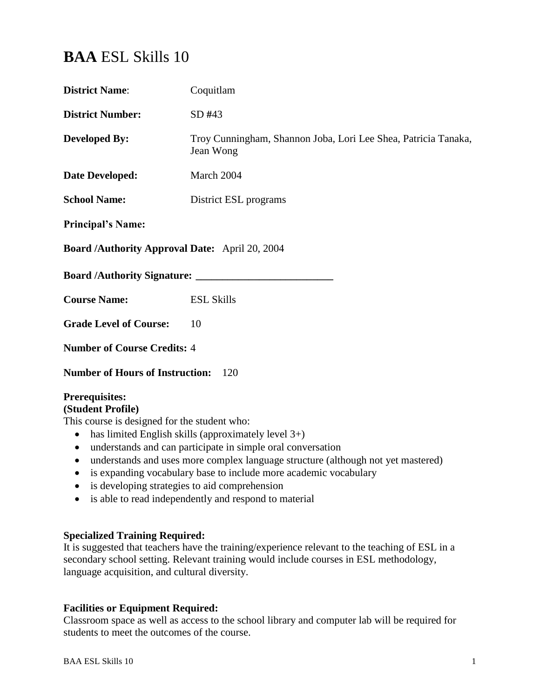# **BAA** ESL Skills 10

| <b>District Name:</b>                                                                                                                                                                                                                                                                                                                                                                                                                                                                                                                                  | Coquitlam                                                                   |  |
|--------------------------------------------------------------------------------------------------------------------------------------------------------------------------------------------------------------------------------------------------------------------------------------------------------------------------------------------------------------------------------------------------------------------------------------------------------------------------------------------------------------------------------------------------------|-----------------------------------------------------------------------------|--|
| <b>District Number:</b>                                                                                                                                                                                                                                                                                                                                                                                                                                                                                                                                | SD #43                                                                      |  |
| <b>Developed By:</b>                                                                                                                                                                                                                                                                                                                                                                                                                                                                                                                                   | Troy Cunningham, Shannon Joba, Lori Lee Shea, Patricia Tanaka,<br>Jean Wong |  |
| <b>Date Developed:</b>                                                                                                                                                                                                                                                                                                                                                                                                                                                                                                                                 | March 2004                                                                  |  |
| <b>School Name:</b>                                                                                                                                                                                                                                                                                                                                                                                                                                                                                                                                    | District ESL programs                                                       |  |
| <b>Principal's Name:</b>                                                                                                                                                                                                                                                                                                                                                                                                                                                                                                                               |                                                                             |  |
| Board /Authority Approval Date: April 20, 2004                                                                                                                                                                                                                                                                                                                                                                                                                                                                                                         |                                                                             |  |
| <b>Board /Authority Signature:</b>                                                                                                                                                                                                                                                                                                                                                                                                                                                                                                                     |                                                                             |  |
| <b>Course Name:</b>                                                                                                                                                                                                                                                                                                                                                                                                                                                                                                                                    | <b>ESL Skills</b>                                                           |  |
| <b>Grade Level of Course:</b>                                                                                                                                                                                                                                                                                                                                                                                                                                                                                                                          | 10                                                                          |  |
| <b>Number of Course Credits: 4</b>                                                                                                                                                                                                                                                                                                                                                                                                                                                                                                                     |                                                                             |  |
| <b>Number of Hours of Instruction:</b><br>120                                                                                                                                                                                                                                                                                                                                                                                                                                                                                                          |                                                                             |  |
| <b>Prerequisites:</b><br>(Student Profile)<br>This course is designed for the student who:<br>has limited English skills (approximately level $3+$ )<br>$\bullet$<br>understands and can participate in simple oral conversation<br>$\bullet$<br>understands and uses more complex language structure (although not yet mastered)<br>is expanding vocabulary base to include more academic vocabulary<br>$\bullet$<br>is developing strategies to aid comprehension<br>$\bullet$<br>is able to read independently and respond to material<br>$\bullet$ |                                                                             |  |

## **Specialized Training Required:**

It is suggested that teachers have the training/experience relevant to the teaching of ESL in a secondary school setting. Relevant training would include courses in ESL methodology, language acquisition, and cultural diversity.

# **Facilities or Equipment Required:**

Classroom space as well as access to the school library and computer lab will be required for students to meet the outcomes of the course.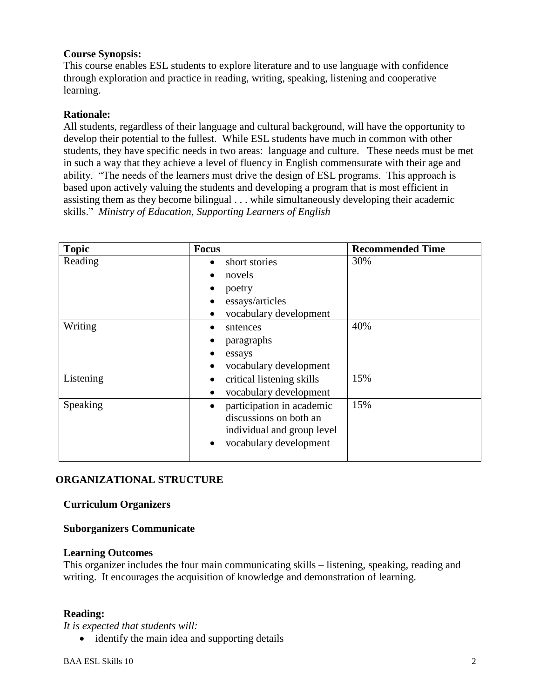## **Course Synopsis:**

This course enables ESL students to explore literature and to use language with confidence through exploration and practice in reading, writing, speaking, listening and cooperative learning.

## **Rationale:**

All students, regardless of their language and cultural background, will have the opportunity to develop their potential to the fullest. While ESL students have much in common with other students, they have specific needs in two areas: language and culture. These needs must be met in such a way that they achieve a level of fluency in English commensurate with their age and ability. "The needs of the learners must drive the design of ESL programs. This approach is based upon actively valuing the students and developing a program that is most efficient in assisting them as they become bilingual . . . while simultaneously developing their academic skills." *Ministry of Education, Supporting Learners of English*

| <b>Topic</b> | <b>Focus</b>               | <b>Recommended Time</b> |
|--------------|----------------------------|-------------------------|
| Reading      | short stories              | 30%                     |
|              | novels                     |                         |
|              | poetry                     |                         |
|              | essays/articles            |                         |
|              | vocabulary development     |                         |
| Writing      | sntences                   | 40%                     |
|              | paragraphs                 |                         |
|              | essays                     |                         |
|              | vocabulary development     |                         |
| Listening    | critical listening skills  | 15%                     |
|              | vocabulary development     |                         |
| Speaking     | participation in academic  | 15%                     |
|              | discussions on both an     |                         |
|              | individual and group level |                         |
|              | vocabulary development     |                         |
|              |                            |                         |

## **ORGANIZATIONAL STRUCTURE**

### **Curriculum Organizers**

### **Suborganizers Communicate**

#### **Learning Outcomes**

This organizer includes the four main communicating skills – listening, speaking, reading and writing. It encourages the acquisition of knowledge and demonstration of learning.

### **Reading:**

*It is expected that students will:*

• identify the main idea and supporting details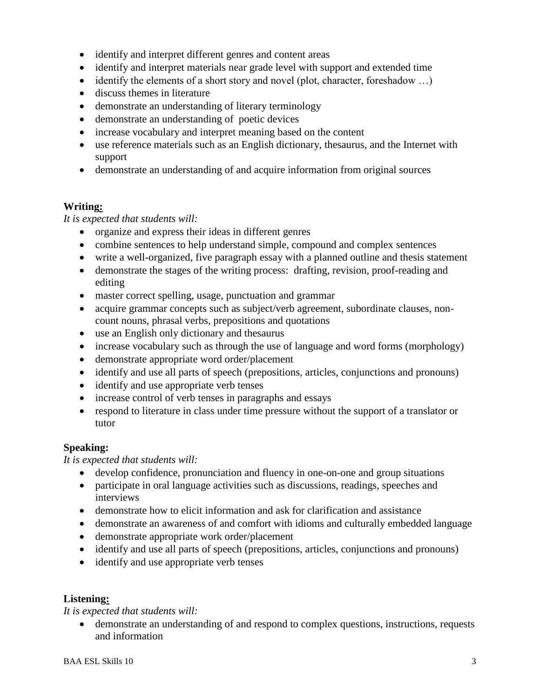- identify and interpret different genres and content areas
- identify and interpret materials near grade level with support and extended time
- identify the elements of a short story and novel (plot, character, foreshadow  $\dots$ )
- discuss themes in literature
- demonstrate an understanding of literary terminology
- demonstrate an understanding of poetic devices
- increase vocabulary and interpret meaning based on the content
- use reference materials such as an English dictionary, thesaurus, and the Internet with support
- demonstrate an understanding of and acquire information from original sources

### **Writing:**

*It is expected that students will:*

- organize and express their ideas in different genres
- combine sentences to help understand simple, compound and complex sentences
- write a well-organized, five paragraph essay with a planned outline and thesis statement
- demonstrate the stages of the writing process: drafting, revision, proof-reading and editing
- master correct spelling, usage, punctuation and grammar
- acquire grammar concepts such as subject/verb agreement, subordinate clauses, noncount nouns, phrasal verbs, prepositions and quotations
- use an English only dictionary and thesaurus
- increase vocabulary such as through the use of language and word forms (morphology)
- demonstrate appropriate word order/placement
- identify and use all parts of speech (prepositions, articles, conjunctions and pronouns)
- identify and use appropriate verb tenses
- increase control of verb tenses in paragraphs and essays
- respond to literature in class under time pressure without the support of a translator or tutor

## **Speaking:**

*It is expected that students will:*

- develop confidence, pronunciation and fluency in one-on-one and group situations
- participate in oral language activities such as discussions, readings, speeches and interviews
- demonstrate how to elicit information and ask for clarification and assistance
- demonstrate an awareness of and comfort with idioms and culturally embedded language
- demonstrate appropriate work order/placement
- identify and use all parts of speech (prepositions, articles, conjunctions and pronouns)
- identify and use appropriate verb tenses

### **Listening:**

*It is expected that students will:*

 demonstrate an understanding of and respond to complex questions, instructions, requests and information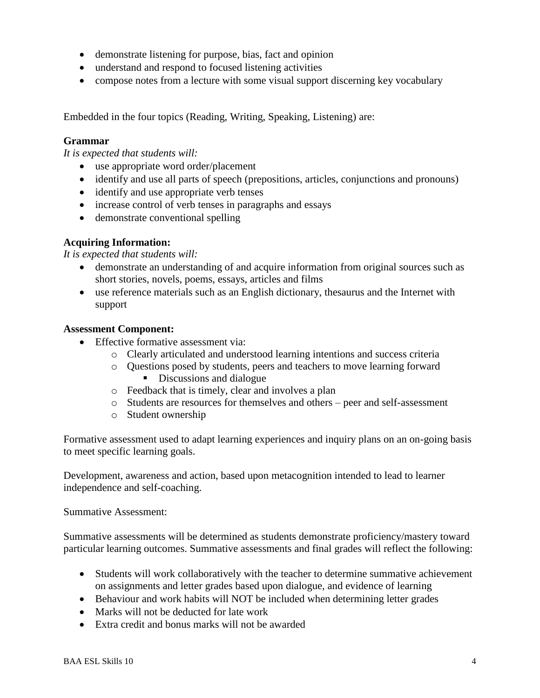- demonstrate listening for purpose, bias, fact and opinion
- understand and respond to focused listening activities
- compose notes from a lecture with some visual support discerning key vocabulary

Embedded in the four topics (Reading, Writing, Speaking, Listening) are:

## **Grammar**

*It is expected that students will:*

- use appropriate word order/placement
- identify and use all parts of speech (prepositions, articles, conjunctions and pronouns)
- identify and use appropriate verb tenses
- increase control of verb tenses in paragraphs and essays
- demonstrate conventional spelling

## **Acquiring Information:**

#### *It is expected that students will:*

- demonstrate an understanding of and acquire information from original sources such as short stories, novels, poems, essays, articles and films
- use reference materials such as an English dictionary, thesaurus and the Internet with support

### **Assessment Component:**

- Effective formative assessment via:
	- o Clearly articulated and understood learning intentions and success criteria
	- o Questions posed by students, peers and teachers to move learning forward Discussions and dialogue
	- o Feedback that is timely, clear and involves a plan
	- o Students are resources for themselves and others peer and self-assessment
	- o Student ownership

Formative assessment used to adapt learning experiences and inquiry plans on an on-going basis to meet specific learning goals.

Development, awareness and action, based upon metacognition intended to lead to learner independence and self-coaching.

Summative Assessment:

Summative assessments will be determined as students demonstrate proficiency/mastery toward particular learning outcomes. Summative assessments and final grades will reflect the following:

- Students will work collaboratively with the teacher to determine summative achievement on assignments and letter grades based upon dialogue, and evidence of learning
- Behaviour and work habits will NOT be included when determining letter grades
- Marks will not be deducted for late work
- Extra credit and bonus marks will not be awarded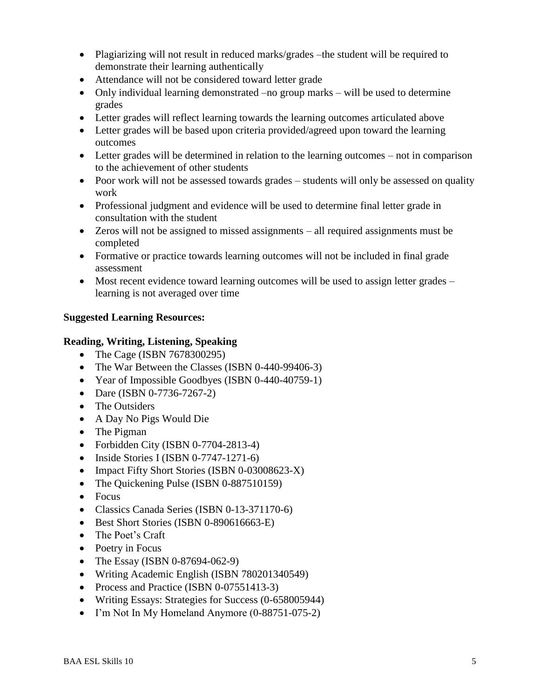- Plagiarizing will not result in reduced marks/grades –the student will be required to demonstrate their learning authentically
- Attendance will not be considered toward letter grade
- Only individual learning demonstrated –no group marks will be used to determine grades
- Letter grades will reflect learning towards the learning outcomes articulated above
- Letter grades will be based upon criteria provided/agreed upon toward the learning outcomes
- Letter grades will be determined in relation to the learning outcomes not in comparison to the achievement of other students
- Poor work will not be assessed towards grades students will only be assessed on quality work
- Professional judgment and evidence will be used to determine final letter grade in consultation with the student
- Zeros will not be assigned to missed assignments all required assignments must be completed
- Formative or practice towards learning outcomes will not be included in final grade assessment
- Most recent evidence toward learning outcomes will be used to assign letter grades learning is not averaged over time

# **Suggested Learning Resources:**

## **Reading, Writing, Listening, Speaking**

- The Cage (ISBN 7678300295)
- The War Between the Classes (ISBN 0-440-99406-3)
- Year of Impossible Goodbyes (ISBN 0-440-40759-1)
- Dare (ISBN 0-7736-7267-2)
- The Outsiders
- A Day No Pigs Would Die
- The Pigman
- Forbidden City (ISBN 0-7704-2813-4)
- $\bullet$  Inside Stories I (ISBN 0-7747-1271-6)
- Impact Fifty Short Stories (ISBN 0-03008623-X)
- The Quickening Pulse (ISBN 0-887510159)
- Focus
- Classics Canada Series (ISBN 0-13-371170-6)
- Best Short Stories (ISBN 0-890616663-E)
- The Poet's Craft
- Poetry in Focus
- The Essay (ISBN 0-87694-062-9)
- Writing Academic English (ISBN 780201340549)
- Process and Practice (ISBN 0-07551413-3)
- Writing Essays: Strategies for Success (0-658005944)
- I'm Not In My Homeland Anymore (0-88751-075-2)